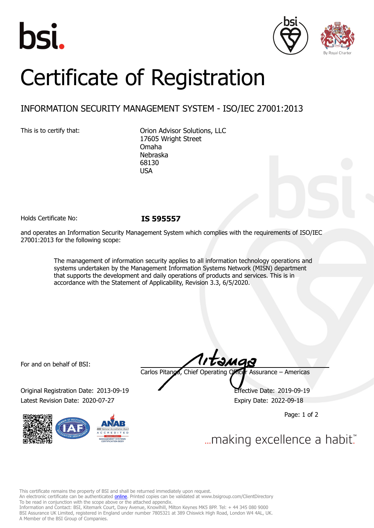





# Certificate of Registration

## INFORMATION SECURITY MANAGEMENT SYSTEM - ISO/IEC 27001:2013

This is to certify that: Orion Advisor Solutions, LLC 17605 Wright Street Omaha Nebraska 68130 USA

Holds Certificate No: **IS 595557**

and operates an Information Security Management System which complies with the requirements of ISO/IEC 27001:2013 for the following scope:

> The management of information security applies to all information technology operations and systems undertaken by the Management Information Systems Network (MISN) department that supports the development and daily operations of products and services. This is in accordance with the Statement of Applicability, Revision 3.3, 6/5/2020.

For and on behalf of BSI:

Original Registration Date: 2013-09-19 Effective Date: 2019-09-19 Latest Revision Date: 2020-07-27 Expiry Date: 2022-09-18



tamas Carlos Pitanga, Chief Operating Officer Assurance – Americas

Page: 1 of 2

... making excellence a habit."

This certificate remains the property of BSI and shall be returned immediately upon request.

An electronic certificate can be authenticated *[online](https://pgplus.bsigroup.com/CertificateValidation/CertificateValidator.aspx?CertificateNumber=IS+595557&ReIssueDate=27%2f07%2f2020&Template=inc)*. Printed copies can be validated at www.bsigroup.com/ClientDirectory To be read in conjunction with the scope above or the attached appendix.

Information and Contact: BSI, Kitemark Court, Davy Avenue, Knowlhill, Milton Keynes MK5 8PP. Tel: + 44 345 080 9000 BSI Assurance UK Limited, registered in England under number 7805321 at 389 Chiswick High Road, London W4 4AL, UK. A Member of the BSI Group of Companies.